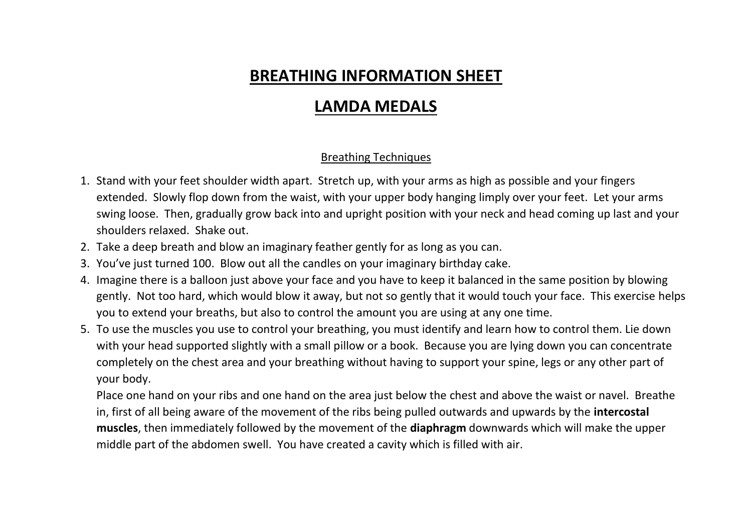# **BREATHING INFORMATION SHEET**

# **LAMDA MEDALS**

#### Breathing Techniques

- 1. Stand with your feet shoulder width apart. Stretch up, with your arms as high as possible and your fingers extended. Slowly flop down from the waist, with your upper body hanging limply over your feet. Let your arms swing loose. Then, gradually grow back into and upright position with your neck and head coming up last and your shoulders relaxed. Shake out.
- 2. Take a deep breath and blow an imaginary feather gently for as long as you can.
- 3. You've just turned 100. Blow out all the candles on your imaginary birthday cake.
- 4. Imagine there is a balloon just above your face and you have to keep it balanced in the same position by blowing gently. Not too hard, which would blow it away, but not so gently that it would touch your face. This exercise helps you to extend your breaths, but also to control the amount you are using at any one time.
- 5. To use the muscles you use to control your breathing, you must identify and learn how to control them. Lie down with your head supported slightly with a small pillow or a book. Because you are lying down you can concentrate completely on the chest area and your breathing without having to support your spine, legs or any other part of your body.

Place one hand on your ribs and one hand on the area just below the chest and above the waist or navel. Breathe in, first of all being aware of the movement of the ribs being pulled outwards and upwards by the **intercostal muscles**, then immediately followed by the movement of the **diaphragm** downwards which will make the upper middle part of the abdomen swell. You have created a cavity which is filled with air.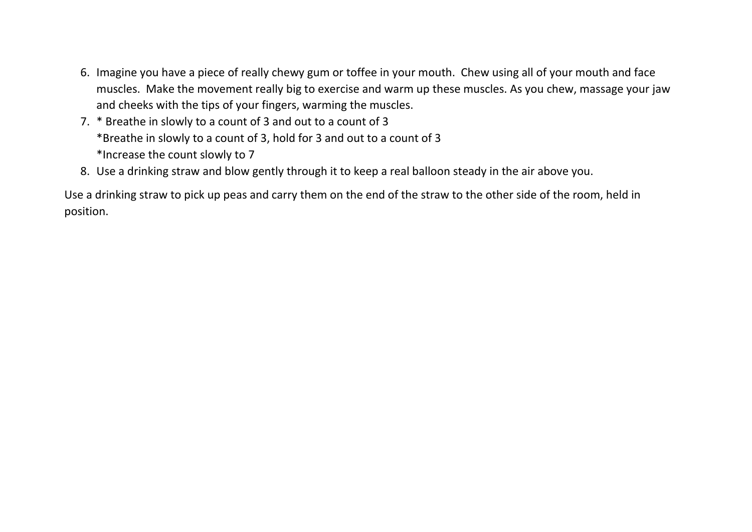- 6. Imagine you have a piece of really chewy gum or toffee in your mouth. Chew using all of your mouth and face muscles. Make the movement really big to exercise and warm up these muscles. As you chew, massage your jaw and cheeks with the tips of your fingers, warming the muscles.
- 7. \* Breathe in slowly to a count of 3 and out to a count of 3 \*Breathe in slowly to a count of 3, hold for 3 and out to a count of 3 \*Increase the count slowly to 7
- 8. Use a drinking straw and blow gently through it to keep a real balloon steady in the air above you.

Use a drinking straw to pick up peas and carry them on the end of the straw to the other side of the room, held in position.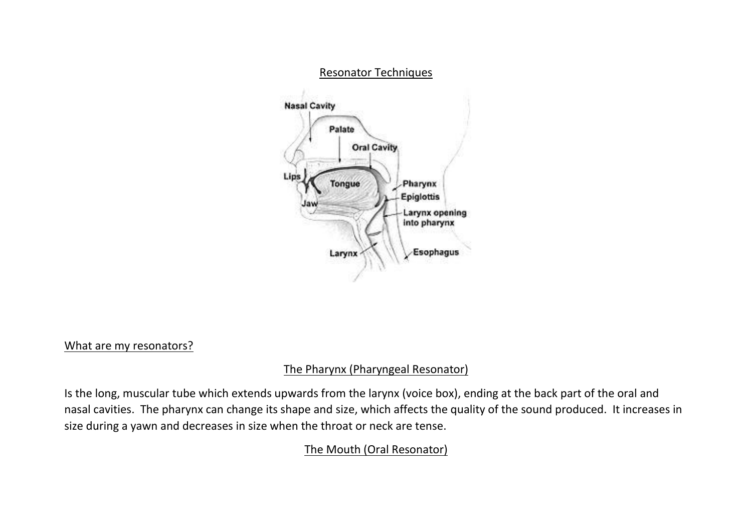

#### What are my resonators?

### The Pharynx (Pharyngeal Resonator)

Is the long, muscular tube which extends upwards from the larynx (voice box), ending at the back part of the oral and nasal cavities. The pharynx can change its shape and size, which affects the quality of the sound produced. It increases in size during a yawn and decreases in size when the throat or neck are tense.

## The Mouth (Oral Resonator)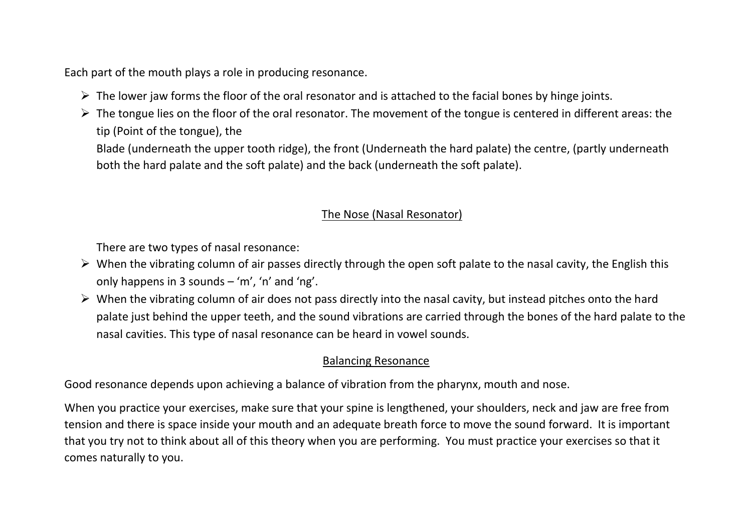Each part of the mouth plays a role in producing resonance.

- $\triangleright$  The lower jaw forms the floor of the oral resonator and is attached to the facial bones by hinge joints.
- $\triangleright$  The tongue lies on the floor of the oral resonator. The movement of the tongue is centered in different areas: the tip (Point of the tongue), the

Blade (underneath the upper tooth ridge), the front (Underneath the hard palate) the centre, (partly underneath both the hard palate and the soft palate) and the back (underneath the soft palate).

#### The Nose (Nasal Resonator)

There are two types of nasal resonance:

- $\triangleright$  When the vibrating column of air passes directly through the open soft palate to the nasal cavity, the English this only happens in 3 sounds – 'm', 'n' and 'ng'.
- $\triangleright$  When the vibrating column of air does not pass directly into the nasal cavity, but instead pitches onto the hard palate just behind the upper teeth, and the sound vibrations are carried through the bones of the hard palate to the nasal cavities. This type of nasal resonance can be heard in vowel sounds.

#### Balancing Resonance

Good resonance depends upon achieving a balance of vibration from the pharynx, mouth and nose.

When you practice your exercises, make sure that your spine is lengthened, your shoulders, neck and jaw are free from tension and there is space inside your mouth and an adequate breath force to move the sound forward. It is important that you try not to think about all of this theory when you are performing. You must practice your exercises so that it comes naturally to you.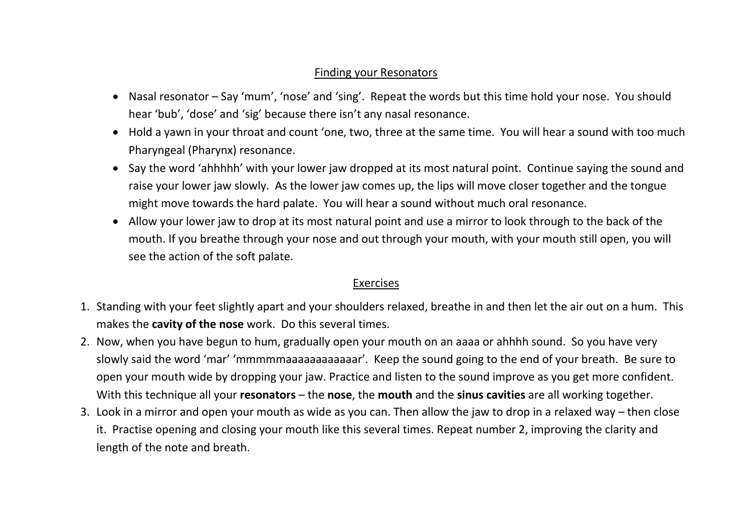#### Finding your Resonators

- Nasal resonator Say 'mum', 'nose' and 'sing'. Repeat the words but this time hold your nose. You should hear 'bub', 'dose' and 'sig' because there isn't any nasal resonance.
- Hold a yawn in your throat and count 'one, two, three at the same time. You will hear a sound with too much Pharyngeal (Pharynx) resonance.
- Say the word 'ahhhhh' with your lower jaw dropped at its most natural point. Continue saying the sound and raise your lower jaw slowly. As the lower jaw comes up, the lips will move closer together and the tongue might move towards the hard palate. You will hear a sound without much oral resonance.
- Allow your lower jaw to drop at its most natural point and use a mirror to look through to the back of the mouth. If you breathe through your nose and out through your mouth, with your mouth still open, you will see the action of the soft palate.

#### Exercises

- 1. Standing with your feet slightly apart and your shoulders relaxed, breathe in and then let the air out on a hum. This makes the **cavity of the nose** work. Do this several times.
- 2. Now, when you have begun to hum, gradually open your mouth on an aaaa or ahhhh sound. So you have very slowly said the word 'mar' 'mmmmmaaaaaaaaaaaar'. Keep the sound going to the end of your breath. Be sure to open your mouth wide by dropping your jaw. Practice and listen to the sound improve as you get more confident. With this technique all your **resonators** – the **nose**, the **mouth** and the **sinus cavities** are all working together.
- 3. Look in a mirror and open your mouth as wide as you can. Then allow the jaw to drop in a relaxed way then close it. Practise opening and closing your mouth like this several times. Repeat number 2, improving the clarity and length of the note and breath.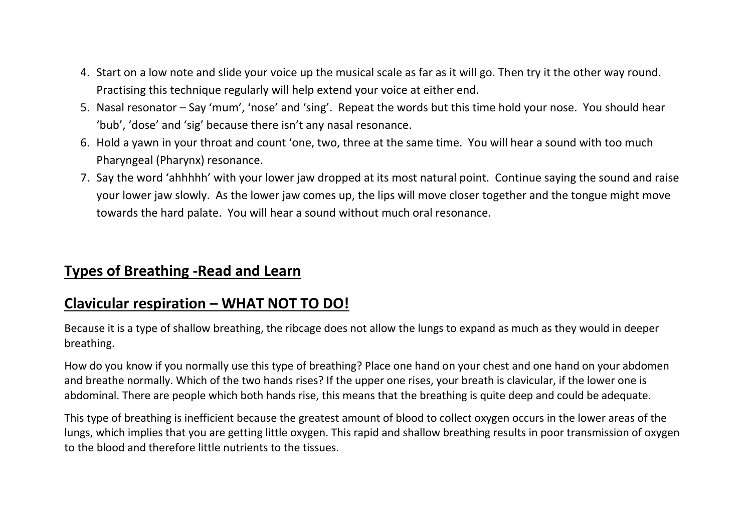- 4. Start on a low note and slide your voice up the musical scale as far as it will go. Then try it the other way round. Practising this technique regularly will help extend your voice at either end.
- 5. Nasal resonator Say 'mum', 'nose' and 'sing'. Repeat the words but this time hold your nose. You should hear 'bub', 'dose' and 'sig' because there isn't any nasal resonance.
- 6. Hold a yawn in your throat and count 'one, two, three at the same time. You will hear a sound with too much Pharyngeal (Pharynx) resonance.
- 7. Say the word 'ahhhhh' with your lower jaw dropped at its most natural point. Continue saying the sound and raise your lower jaw slowly. As the lower jaw comes up, the lips will move closer together and the tongue might move towards the hard palate. You will hear a sound without much oral resonance.

## **Types of Breathing -Read and Learn**

## **Clavicular respiration – WHAT NOT TO DO!**

Because it is a type of shallow breathing, the ribcage does not allow the lungs to expand as much as they would in deeper breathing.

How do you know if you normally use this type of breathing? Place one hand on your chest and one hand on your abdomen and breathe normally. Which of the two hands rises? If the upper one rises, your breath is clavicular, if the lower one is abdominal. There are people which both hands rise, this means that the breathing is quite deep and could be adequate.

This type of breathing is inefficient because the greatest amount of blood to collect oxygen occurs in the lower areas of the lungs, which implies that you are getting little oxygen. This rapid and shallow breathing results in poor transmission of oxygen to the blood and therefore little nutrients to the tissues.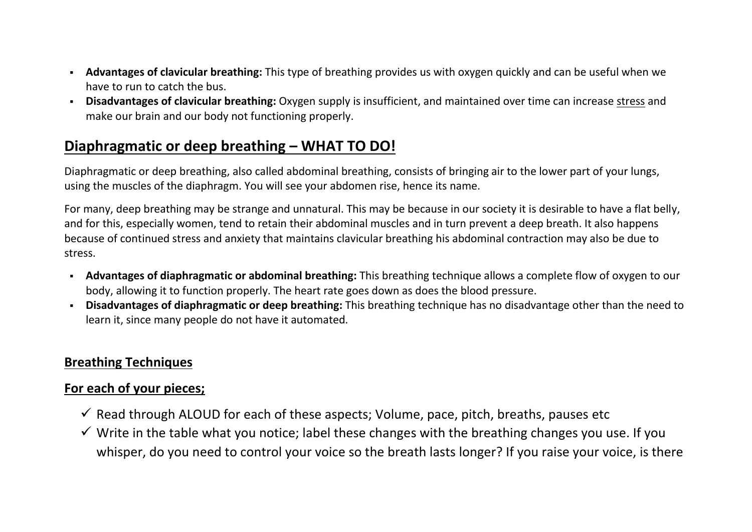- **Advantages of clavicular breathing:** This type of breathing provides us with oxygen quickly and can be useful when we have to run to catch the bus.
- **Disadvantages of clavicular breathing:** Oxygen supply is insufficient, and maintained over time can increase [stress](https://blog.cognifit.com/acute-stress/) and make our brain and our body not functioning properly.

## **Diaphragmatic or deep breathing – WHAT TO DO!**

Diaphragmatic or deep breathing, also called abdominal breathing, consists of bringing air to the lower part of your lungs, using the muscles of the diaphragm. You will see your abdomen rise, hence its name.

For many, deep breathing may be strange and unnatural. This may be because in our society it is desirable to have a flat belly, and for this, especially women, tend to retain their abdominal muscles and in turn prevent a deep breath. It also happens because of continued stress and anxiety that maintains clavicular breathing his abdominal contraction may also be due to stress.

- **Advantages of diaphragmatic or abdominal breathing:** This breathing technique allows a complete flow of oxygen to our body, allowing it to function properly. The heart rate goes down as does the blood pressure.
- **Disadvantages of diaphragmatic or deep breathing:** This breathing technique has no disadvantage other than the need to learn it, since many people do not have it automated.

## **Breathing Techniques**

## **For each of your pieces;**

- $\checkmark$  Read through ALOUD for each of these aspects; Volume, pace, pitch, breaths, pauses etc
- $\checkmark$  Write in the table what you notice; label these changes with the breathing changes you use. If you whisper, do you need to control your voice so the breath lasts longer? If you raise your voice, is there